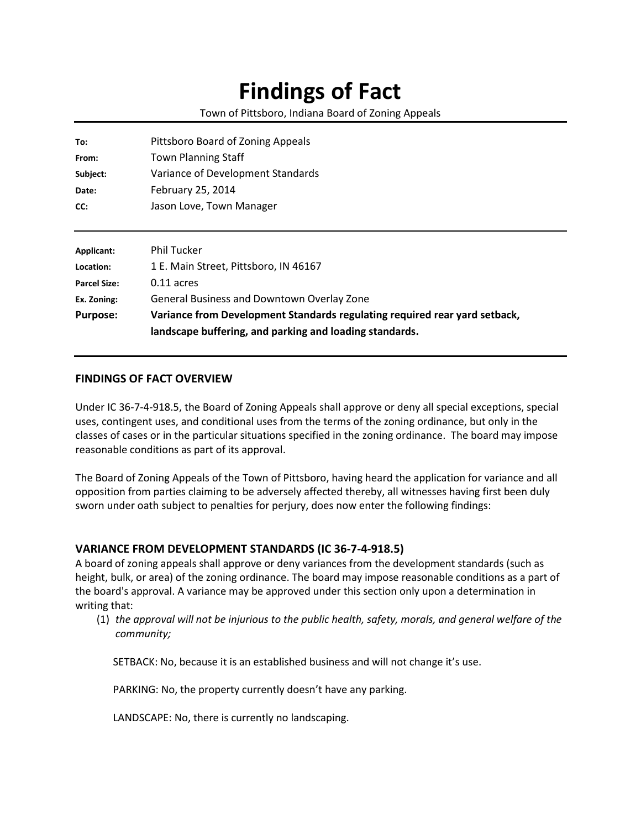## **Findings of Fact**

Town of Pittsboro, Indiana Board of Zoning Appeals

| To:                 | Pittsboro Board of Zoning Appeals                                                                                                     |
|---------------------|---------------------------------------------------------------------------------------------------------------------------------------|
| From:               | <b>Town Planning Staff</b>                                                                                                            |
| Subject:            | Variance of Development Standards                                                                                                     |
| Date:               | February 25, 2014                                                                                                                     |
| CC:                 | Jason Love, Town Manager                                                                                                              |
|                     |                                                                                                                                       |
| Applicant:          | <b>Phil Tucker</b>                                                                                                                    |
| Location:           | 1 E. Main Street, Pittsboro, IN 46167                                                                                                 |
| <b>Parcel Size:</b> | $0.11$ acres                                                                                                                          |
| Ex. Zoning:         | General Business and Downtown Overlay Zone                                                                                            |
| <b>Purpose:</b>     | Variance from Development Standards regulating required rear yard setback,<br>landscape buffering, and parking and loading standards. |

## **FINDINGS OF FACT OVERVIEW**

Under IC 36-7-4-918.5, the Board of Zoning Appeals shall approve or deny all special exceptions, special uses, contingent uses, and conditional uses from the terms of the zoning ordinance, but only in the classes of cases or in the particular situations specified in the zoning ordinance. The board may impose reasonable conditions as part of its approval.

The Board of Zoning Appeals of the Town of Pittsboro, having heard the application for variance and all opposition from parties claiming to be adversely affected thereby, all witnesses having first been duly sworn under oath subject to penalties for perjury, does now enter the following findings:

## **VARIANCE FROM DEVELOPMENT STANDARDS (IC 36-7-4-918.5)**

A board of zoning appeals shall approve or deny variances from the development standards (such as height, bulk, or area) of the zoning ordinance. The board may impose reasonable conditions as a part of the board's approval. A variance may be approved under this section only upon a determination in writing that:

(1) *the approval will not be injurious to the public health, safety, morals, and general welfare of the community;*

SETBACK: No, because it is an established business and will not change it's use.

PARKING: No, the property currently doesn't have any parking.

LANDSCAPE: No, there is currently no landscaping.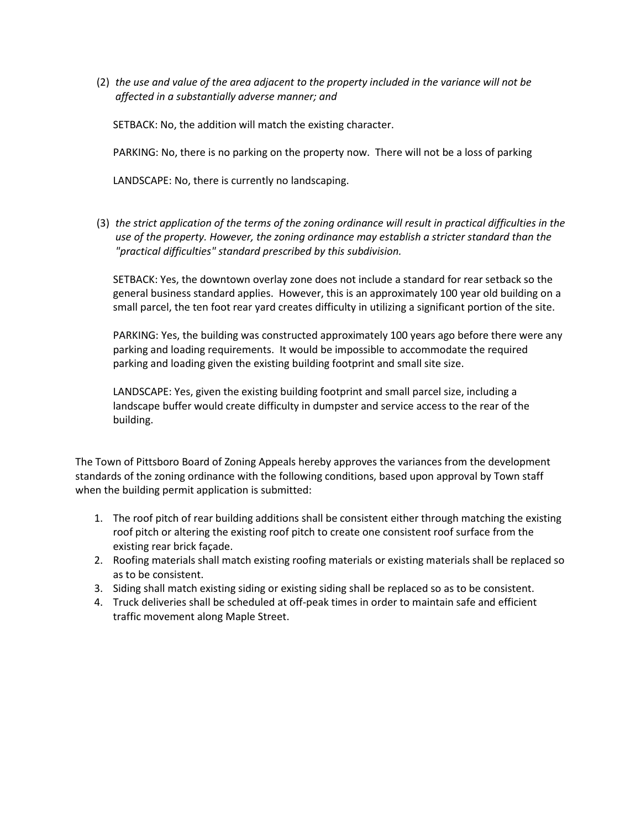(2) *the use and value of the area adjacent to the property included in the variance will not be affected in a substantially adverse manner; and*

SETBACK: No, the addition will match the existing character.

PARKING: No, there is no parking on the property now. There will not be a loss of parking

LANDSCAPE: No, there is currently no landscaping.

(3) *the strict application of the terms of the zoning ordinance will result in practical difficulties in the use of the property. However, the zoning ordinance may establish a stricter standard than the "practical difficulties" standard prescribed by this subdivision.*

SETBACK: Yes, the downtown overlay zone does not include a standard for rear setback so the general business standard applies. However, this is an approximately 100 year old building on a small parcel, the ten foot rear yard creates difficulty in utilizing a significant portion of the site.

PARKING: Yes, the building was constructed approximately 100 years ago before there were any parking and loading requirements. It would be impossible to accommodate the required parking and loading given the existing building footprint and small site size.

LANDSCAPE: Yes, given the existing building footprint and small parcel size, including a landscape buffer would create difficulty in dumpster and service access to the rear of the building.

The Town of Pittsboro Board of Zoning Appeals hereby approves the variances from the development standards of the zoning ordinance with the following conditions, based upon approval by Town staff when the building permit application is submitted:

- 1. The roof pitch of rear building additions shall be consistent either through matching the existing roof pitch or altering the existing roof pitch to create one consistent roof surface from the existing rear brick façade.
- 2. Roofing materials shall match existing roofing materials or existing materials shall be replaced so as to be consistent.
- 3. Siding shall match existing siding or existing siding shall be replaced so as to be consistent.
- 4. Truck deliveries shall be scheduled at off-peak times in order to maintain safe and efficient traffic movement along Maple Street.